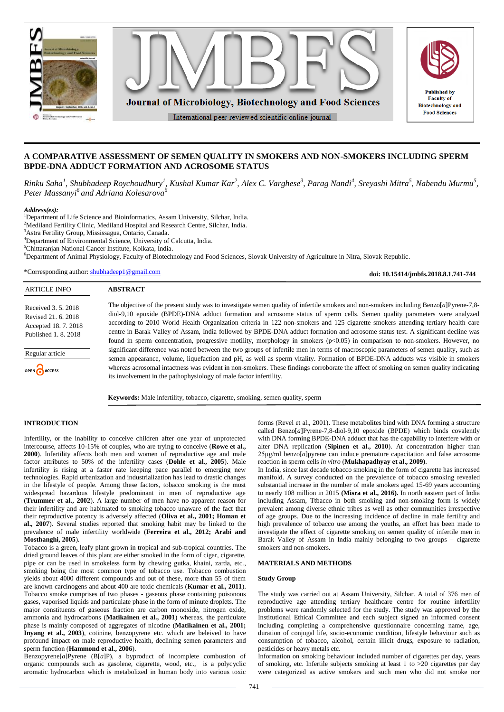

# **A COMPARATIVE ASSESSMENT OF SEMEN QUALITY IN SMOKERS AND NON-SMOKERS INCLUDING SPERM BPDE-DNA ADDUCT FORMATION AND ACROSOME STATUS**

Rinku Saha<sup>1</sup>, Shubhadeep Roychoudhury<sup>1</sup>, Kushal Kumar Kar<sup>2</sup>, Alex C. Varghese<sup>3</sup>, Parag Nandi<sup>4</sup>, Sreyashi Mitra<sup>5</sup>, Nabendu Murmu<sup>5</sup>, *Peter Massanyi<sup>6</sup> and Adriana Kolesarova<sup>6</sup>*

*Address(es):*

<sup>1</sup>Department of Life Science and Bioinformatics, Assam University, Silchar, India.

<sup>2</sup>Mediland Fertility Clinic, Mediland Hospital and Research Centre, Silchar, India.

<sup>3</sup>Astra Fertility Group, Mississagua, Ontario, Canada.

<sup>4</sup>Department of Environmental Science, University of Calcutta, India.

<sup>5</sup>Chittaranjan National Cancer Institute, Kolkata, India.

<sup>6</sup>Department of Animal Physiology, Faculty of Biotechnology and Food Sciences, Slovak University of Agriculture in Nitra, Slovak Republic.

\*Corresponding author: [shubhadeep1@gmail.com](mailto:shubhadeep1@gmail.com)

**doi: 10.15414/jmbfs.2018.8.1.741-744**

| <b>ARTICLE INFO</b>                                                                        | <b>ABSTRACT</b>                                                                                                                                                                                                                                                                                                                                                                                                                                                                        |
|--------------------------------------------------------------------------------------------|----------------------------------------------------------------------------------------------------------------------------------------------------------------------------------------------------------------------------------------------------------------------------------------------------------------------------------------------------------------------------------------------------------------------------------------------------------------------------------------|
| Received 3, 5, 2018<br>Revised 21, 6, 2018<br>Accepted 18, 7, 2018<br>Published 1, 8, 2018 | The objective of the present study was to investigate semen quality of infertile smokers and non-smokers including Benzo $[a]$ Pyrene-7.8-<br>diol-9,10 epoxide (BPDE)-DNA adduct formation and acrosome status of sperm cells. Semen quality parameters were analyzed<br>according to 2010 World Health Organization criteria in 122 non-smokers and 125 cigarette smokers attending tertiary health care                                                                             |
|                                                                                            | centre in Barak Valley of Assam, India followed by BPDE-DNA adduct formation and acrosome status test. A significant decline was<br>found in sperm concentration, progressive motility, morphology in smokers $(p<0.05)$ in comparison to non-smokers. However, no                                                                                                                                                                                                                     |
| Regular article                                                                            | significant difference was noted between the two groups of infertile men in terms of macroscopic parameters of semen quality, such as<br>semen appearance, volume, liquefaction and pH, as well as sperm vitality. Formation of BPDE-DNA adducts was visible in smokers<br>whereas acrosomal intactness was evident in non-smokers. These findings corroborate the affect of smoking on semen quality indicating<br>its involvement in the pathophysiology of male factor infertility. |
| OPEN CACCESS                                                                               |                                                                                                                                                                                                                                                                                                                                                                                                                                                                                        |

**Keywords:** Male infertility, tobacco, cigarette, smoking, semen quality, sperm

## **INTRODUCTION**

Infertility, or the inability to conceive children after one year of unprotected intercourse, affects 10-15% of couples, who are trying to conceive (**Rowe et al., 2000**). Infertility affects both men and women of reproductive age and male factor attributes to 50% of the infertility cases (**Dohle et al., 2005**). Male infertility is rising at a faster rate keeping pace parallel to emerging new technologies. Rapid urbanization and industrialization has lead to drastic changes in the lifestyle of people. Among these factors, tobacco smoking is the most widespread hazardous lifestyle predominant in men of reproductive age (**Trummer et al., 2002**). A large number of men have no apparent reason for their infertility and are habituated to smoking tobacco unaware of the fact that their reproductive potency is adversely affected (**Oliva et al., 2001; Homan et al., 2007**). Several studies reported that smoking habit may be linked to the prevalence of male infertility worldwide (**Ferreira et al., 2012; Arabi and Mosthanghi, 2005**).

Tobacco is a green, leafy plant grown in tropical and sub-tropical countries. The dried ground leaves of this plant are either smoked in the form of cigar, cigarette, pipe or can be used in smokeless form by chewing gutka, khaini, zarda, etc., smoking being the most common type of tobacco use. Tobacco combustion yields about 4000 different compounds and out of these, more than 55 of them are known carcinogens and about 400 are toxic chemicals (**Kumar et al., 2011**). Tobacco smoke comprises of two phases - gaseous phase containing poisonous gases, vaporised liquids and particulate phase in the form of minute droplets. The major constituents of gaseous fraction are carbon monoxide, nitrogen oxide, ammonia and hydrocarbons (**Matikainen et al., 2001**) whereas, the particulate phase is mainly composed of aggregates of nicotine (**Matikainen et al., 2001; Inyang et al., 2003**), cotinine, benzopyrene etc. which are beleived to have profound impact on male reproductive health, declining semen parameters and sperm function (**Hammond et al., 2006**).

Benzopyrene[*a*]Pyrene (B[*a*]P), a byproduct of incomplete combustion of organic compounds such as gasolene, cigarette, wood, etc., is a polycyclic aromatic hydrocarbon which is metabolized in human body into various toxic forms (Revel et al., 2001). These metabolites bind with DNA forming a structure called Benzo[*a*]Pyrene-7,8-diol-9,10 epoxide (BPDE) which binds covalently with DNA forming BPDE-DNA adduct that has the capability to interfere with or alter DNA replication (**Sipinen et al., 2010**). At concentration higher than 25µg/ml benzo[*a*]pyrene can induce premature capacitation and false acrosome reaction in sperm cells *in vitro* (**Mukhapadhyay et al., 2009)**.

In India, since last decade tobacco smoking in the form of cigarette has increased manifold. A survey conducted on the prevalence of tobacco smoking revealed substantial increase in the number of male smokers aged 15-69 years accounting to nearly 108 million in 2015 **(Misra et al., 2016).** In north eastern part of India including Assam, Ttbacco in both smoking and non-smoking form is widely prevalent among diverse ethnic tribes as well as other communities irrespective of age groups. Due to the increasing incidence of decline in male fertility and high prevalence of tobacco use among the youths, an effort has been made to investigate the effect of cigarette smoking on semen quality of infertile men in Barak Valley of Assam in India mainly belonging to two groups – cigarette smokers and non-smokers.

### **MATERIALS AND METHODS**

## **Study Group**

The study was carried out at Assam University, Silchar. A total of 376 men of reproductive age attending tertiary healthcare centre for routine infertility problems were randomly selected for the study. The study was approved by the Institutional Ethical Committee and each subject signed an informed consent including completing a comprehensive questionnaire concerning name, age, duration of conjugal life, socio-economic condition, lifestyle behaviour such as consumption of tobacco, alcohol, certain illicit drugs, exposure to radiation, pesticides or heavy metals etc.

Information on smoking behaviour included number of cigarettes per day, years of smoking, etc. Infertile subjects smoking at least 1 to  $>20$  cigarettes per day were categorized as active smokers and such men who did not smoke nor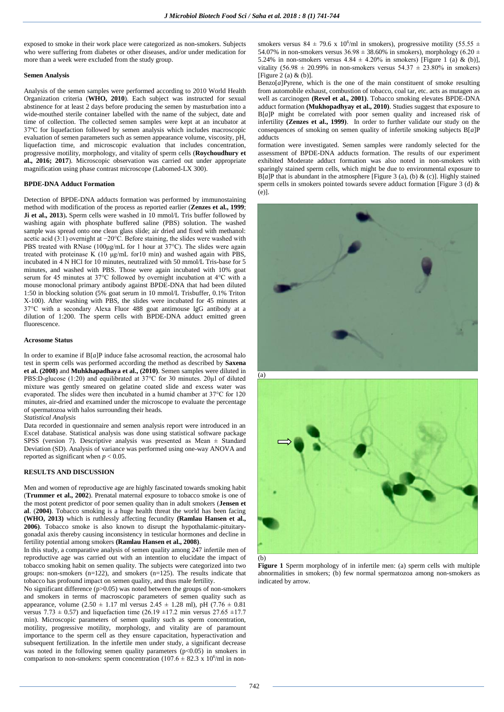exposed to smoke in their work place were categorized as non-smokers. Subjects who were suffering from diabetes or other diseases, and/or under medication for more than a week were excluded from the study group.

#### **Semen Analysis**

Analysis of the semen samples were performed according to 2010 World Health Organization criteria (**WHO, 2010**). Each subject was instructed for sexual abstinence for at least 2 days before producing the semen by masturbation into a wide-mouthed sterile container labelled with the name of the subject, date and time of collection. The collected semen samples were kept at an incubator at 37ºC for liquefaction followed by semen analysis which includes macroscopic evaluation of semen parameters such as semen appearance volume, viscosity, pH, liquefaction time, and microscopic evaluation that includes concentration, progressive motility, morphology, and vitality of sperm cells (**Roychoudhury et al., 2016; 2017**). Microscopic observation was carried out under appropriate magnification using phase contrast microscope (Labomed-LX 300).

#### **BPDE-DNA Adduct Formation**

Detection of BPDE-DNA adducts formation was performed by immunostaining method with modification of the process as reported earlier (**Zenzes et al., 1999**; **Ji et al., 2013**)**.** Sperm cells were washed in 10 mmol/L Tris buffer followed by washing again with phosphate buffered saline (PBS) solution. The washed sample was spread onto one clean glass slide; air dried and fixed with methanol: acetic acid (3:1) overnight at −20°C. Before staining, the slides were washed with PBS treated with RNase (100μg/mL for 1 hour at 37°C). The slides were again treated with proteinase K (10 μg/mL for10 min) and washed again with PBS, incubated in 4 N HCl for 10 minutes, neutralized with 50 mmol/L Tris-base for 5 minutes, and washed with PBS. Those were again incubated with 10% goat serum for 45 minutes at 37°C followed by overnight incubation at 4°C with a mouse monoclonal primary antibody against BPDE-DNA that had been diluted 1:50 in blocking solution (5% goat serum in 10 mmol/L Trisbuffer, 0.1% Triton X-100). After washing with PBS, the slides were incubated for 45 minutes at 37°C with a secondary Alexa Fluor 488 goat antimouse IgG antibody at a dilution of 1:200. The sperm cells with BPDE-DNA adduct emitted green fluorescence.

#### **Acrosome Status**

In order to examine if  $B[a]P$  induce false acrosomal reaction, the acrosomal halo test in sperm cells was performed according the method as described by **Saxena et al. (2008)** and **Muhkhapadhaya et al., (2010)**. Semen samples were diluted in PBS:D-glucose (1:20) and equilibrated at 37°C for 30 minutes. 20µl of diluted mixture was gently smeared on gelatine coated slide and excess water was evaporated. The slides were then incubated in a humid chamber at 37°C for 120 minutes, air-dried and examined under the microscope to evaluate the percentage of spermatozoa with halos surrounding their heads.

#### *Statistical Analysis*

Data recorded in questionnaire and semen analysis report were introduced in an Excel database. Statistical analysis was done using statistical software package SPSS (version 7). Descriptive analysis was presented as Mean ± Standard Deviation (SD). Analysis of variance was performed using one-way ANOVA and reported as significant when *p* < 0.05.

#### **RESULTS AND DISCUSSION**

Men and women of reproductive age are highly fascinated towards smoking habit (**Trummer et al., 2002**). Prenatal maternal exposure to tobacco smoke is one of the most potent predictor of poor semen quality than in adult smokers (**Jensen et al**. (**2004)**. Tobacco smoking is a huge health threat the world has been facing **(WHO, 2013)** which is ruthlessly affecting fecundity **(Ramlau Hansen et al., 2006)**. Tobacco smoke is also known to disrupt the hypothalamic-pituitarygonadal axis thereby causing inconsistency in testicular hormones and decline in fertility potential among smokers **(Ramlau Hansen et al., 2008)**.

In this study, a comparative analysis of semen quality among 247 infertile men of reproductive age was carried out with an intention to elucidate the impact of tobacco smoking habit on semen quality. The subjects were categorized into two groups: non-smokers (n=122), and smokers (n=125). The results indicate that tobacco has profound impact on semen quality, and thus male fertility.

No significant difference  $(p>0.05)$  was noted between the groups of non-smokers and smokers in terms of macroscopic parameters of semen quality such as appearance, volume (2.50  $\pm$  1.17 ml versus 2.45  $\pm$  1.28 ml), pH (7.76  $\pm$  0.81 versus 7.73  $\pm$  0.57) and liquefaction time (26.19  $\pm$ 17.2 min versus 27.65  $\pm$ 17.7 min). Microscopic parameters of semen quality such as sperm concentration, motility, progressive motility, morphology, and vitality are of paramount importance to the sperm cell as they ensure capacitation, hyperactivation and subsequent fertilization. In the infertile men under study, a significant decrease was noted in the following semen quality parameters  $(p<0.05)$  in smokers in comparison to non-smokers: sperm concentration  $(107.6 \pm 82.3 \times 10^6/\text{ml}$  in non-

smokers versus 84  $\pm$  79.6 x 10<sup>6</sup>/ml in smokers), progressive motility (55.55  $\pm$ 54.07% in non-smokers versus  $36.98 \pm 38.60\%$  in smokers), morphology (6.20  $\pm$ 5.24% in non-smokers versus  $4.84 \pm 4.20\%$  in smokers) [Figure 1 (a) & (b)], vitality (56.98  $\pm$  20.99% in non-smokers versus 54.37  $\pm$  23.80% in smokers) [Figure 2 (a) & (b)].

 $Benzo[a]$ Pyrene, which is the one of the main constituent of smoke resulting from automobile exhaust, combustion of tobacco, coal tar, etc. acts as mutagen as well as carcinogen **(Revel et al., 2001)**. Tobacco smoking elevates BPDE-DNA adduct formation **(Mukhopadhyay et al., 2010)**. Studies suggest that exposure to B[*a*]P might be correlated with poor semen quality and increased risk of infertility **(Zenzes et al., 1999)**. In order to further validate our study on the consequences of smoking on semen quality of infertile smoking subjects B[*a*]P adducts

formation were investigated. Semen samples were randomly selected for the assessment of BPDE-DNA adducts formation. The results of our experiment exhibited Moderate adduct formation was also noted in non-smokers with sparingly stained sperm cells, which might be due to environmental exposure to B[*a*]P that is abundant in the atmosphere [Figure 3 (a), (b) & (c)]. Highly stained sperm cells in smokers pointed towards severe adduct formation [Figure 3 (d) & (e)].





(b)

**Figure 1** Sperm morphology of in infertile men: (a) sperm cells with multiple abnormalities in smokers; (b) few normal spermatozoa among non-smokers as indicated by arrow.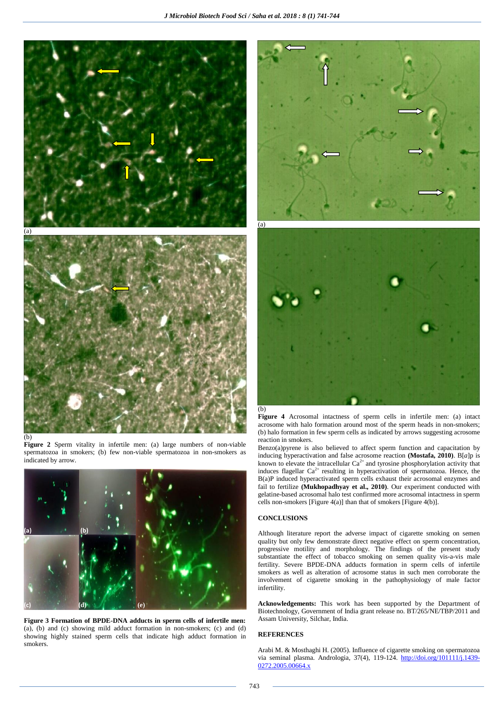

#### (b)

**Figure 2** Sperm vitality in infertile men: (a) large numbers of non-viable spermatozoa in smokers; (b) few non-viable spermatozoa in non-smokers as indicated by arrow.



**Figure 3 Formation of BPDE-DNA adducts in sperm cells of infertile men:** (a), (b) and (c) showing mild adduct formation in non-smokers; (c) and (d) showing highly stained sperm cells that indicate high adduct formation in smokers.





**Figure 4** Acrosomal intactness of sperm cells in infertile men: (a) intact acrosome with halo formation around most of the sperm heads in non-smokers; (b) halo formation in few sperm cells as indicated by arrows suggesting acrosome reaction in smokers.

Benzo(a)pyrene is also believed to affect sperm function and capacitation by inducing hyperactivation and false acrosome reaction **(Mostafa, 2010)**. B[*a*]p is known to elevate the intracellular  $Ca^{2+}$  and tyrosine phosphorylation activity that induces flagellar  $Ca^{2+}$  resulting in hyperactivation of spermatozoa. Hence, the B(a)P induced hyperactivated sperm cells exhaust their acrosomal enzymes and fail to fertilize **(Mukhopadhyay et al., 2010)**. Our experiment conducted with gelatine-based acrosomal halo test confirmed more acrosomal intactness in sperm cells non-smokers [Figure 4(a)] than that of smokers [Figure 4(b)].

## **CONCLUSIONS**

Although literature report the adverse impact of cigarette smoking on semen quality but only few demonstrate direct negative effect on sperm concentration, progressive motility and morphology. The findings of the present study substantiate the effect of tobacco smoking on semen quality vis-a-vis male fertility. Severe BPDE-DNA adducts formation in sperm cells of infertile smokers as well as alteration of acrosome status in such men corroborate the involvement of cigarette smoking in the pathophysiology of male factor infertility.

**Acknowledgements:** This work has been supported by the Department of Biotechnology, Government of India grant release no. BT/265/NE/TBP/2011 and Assam University, Silchar, India.

### **REFERENCES**

Arabi M. & Mosthaghi H. (2005). Influence of cigarette smoking on spermatozoa via seminal plasma. Andrologia, 37(4), 119-124. [http://doi.org/101111/j.1439-](http://doi.org/101111/j.1439-0272.2005.00664.x) [0272.2005.00664.x](http://doi.org/101111/j.1439-0272.2005.00664.x)